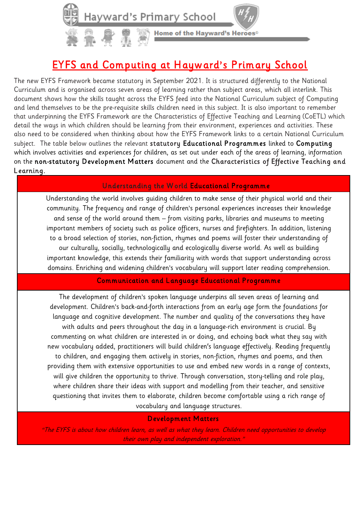

Home of the Hayward's Heroes®

# EYFS and Computing at Hayward's Primary School

The new EYFS Framework became statutory in September 2021. It is structured differently to the National Curriculum and is organised across seven areas of learning rather than subject areas, which all interlink. This document shows how the skills taught across the EYFS feed into the National Curriculum subject of Computing and lend themselves to be the pre-requisite skills children need in this subject. It is also important to remember that underpinning the EYFS Framework are the Characteristics of Effective Teaching and Learning (CoETL) which detail the ways in which children should be learning from their environment, experiences and activities. These also need to be considered when thinking about how the EYFS Framework links to a certain National Curriculum subject. The table below outlines the relevant statutory Educational Programmes linked to Computing which involves activities and experiences for children, as set out under each of the areas of learning, information on the non-statutory Development Matters document and the Characteristics of Effective Teaching and Learning.

### Understanding the W orld Educational Programme

Understanding the world involves guiding children to make sense of their physical world and their community. The frequency and range of children's personal experiences increases their knowledge and sense of the world around them – from visiting parks, libraries and museums to meeting important members of society such as police officers, nurses and firefighters. In addition, listening to a broad selection of stories, non-fiction, rhymes and poems will foster their understanding of our culturally, socially, technologically and ecologically diverse world. As well as building important knowledge, this extends their familiarity with words that support understanding across domains. Enriching and widening children's vocabulary will support later reading comprehension.

### Communication and Language Educational Programme

The development of children's spoken language underpins all seven areas of learning and development. Children's back-and-forth interactions from an early age form the foundations for language and cognitive development. The number and quality of the conversations they have with adults and peers throughout the day in a language-rich environment is crucial. By commenting on what children are interested in or doing, and echoing back what they say with new vocabulary added, practitioners will build children's language effectively. Reading frequently to children, and engaging them actively in stories, non-fiction, rhymes and poems, and then providing them with extensive opportunities to use and embed new words in a range of contexts, will give children the opportunity to thrive. Through conversation, story-telling and role play, where children share their ideas with support and modelling from their teacher, and sensitive questioning that invites them to elaborate, children become comfortable using a rich range of vocabulary and language structures.

### Development Matters

"The EYFS is about how children learn, as well as what they learn. Children need opportunities to develop their own play and independent exploration."